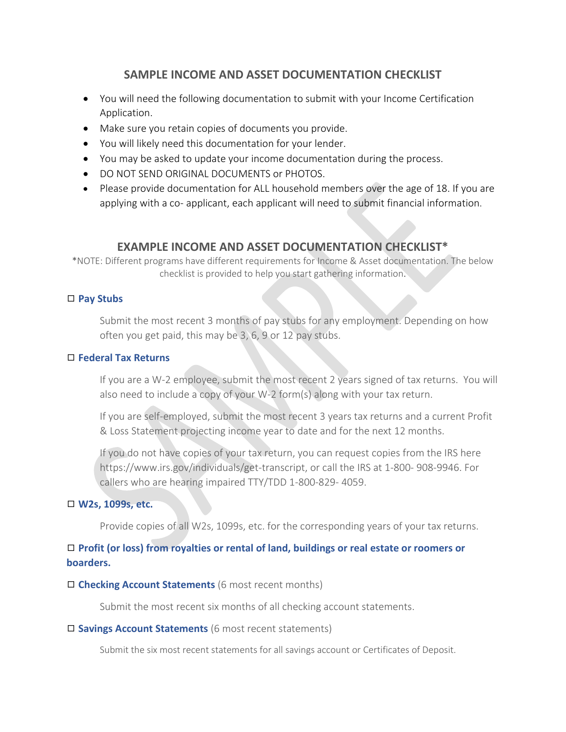# **SAMPLE INCOME AND ASSET DOCUMENTATION CHECKLIST**

- You will need the following documentation to submit with your Income Certification Application.
- Make sure you retain copies of documents you provide.
- You will likely need this documentation for your lender.
- You may be asked to update your income documentation during the process.
- DO NOT SEND ORIGINAL DOCUMENTS or PHOTOS.
- Please provide documentation for ALL household members over the age of 18. If you are applying with a co- applicant, each applicant will need to submit financial information.

## **EXAMPLE INCOME AND ASSET DOCUMENTATION CHECKLIST\***

\*NOTE: Different programs have different requirements for Income & Asset documentation. The below checklist is provided to help you start gathering information.

## ◻ **Pay Stubs**

Submit the most recent 3 months of pay stubs for any employment. Depending on how often you get paid, this may be 3, 6, 9 or 12 pay stubs.

## ◻ **Federal Tax Returns**

If you are a W-2 employee, submit the most recent 2 years signed of tax returns. You will also need to include a copy of your W-2 form(s) along with your tax return.

If you are self-employed, submit the most recent 3 years tax returns and a current Profit & Loss Statement projecting income year to date and for the next 12 months.

If you do not have copies of your tax return, you can request copies from the IRS here https://www.irs.gov/individuals/get-transcript, or call the IRS at 1-800- 908-9946. For callers who are hearing impaired TTY/TDD 1-800-829- 4059.

## ◻ **W2s, 1099s, etc.**

Provide copies of all W2s, 1099s, etc. for the corresponding years of your tax returns.

## ◻ **Profit (or loss) from royalties or rental of land, buildings or real estate or roomers or boarders.**

◻ **Checking Account Statements** (6 most recent months)

Submit the most recent six months of all checking account statements.

#### ◻ **Savings Account Statements** (6 most recent statements)

Submit the six most recent statements for all savings account or Certificates of Deposit.